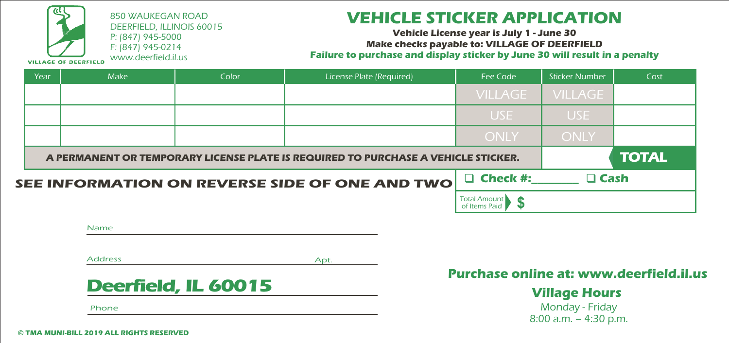850 WAUKEGAN ROAD DEERFIELD, ILLINOIS 60015 P: (847) 945-5000 F: (847) 945-0214 www.deerfield.il.us **VILLAGE OF DEERFIELD** 

# **VEHICLE STICKER APPLICATION**

**Vehicle License year is July 1 - June 30 Make checks payable to: VILLAGE OF DEERFIELD Failure to purchase and display sticker by June 30 will result in a penalty**

| Year | Make                                                                              | Color | License Plate (Required)       | Fee Code                      | <b>Sticker Number</b> | Cost |
|------|-----------------------------------------------------------------------------------|-------|--------------------------------|-------------------------------|-----------------------|------|
|      |                                                                                   |       |                                | <b>VILLAGE</b>                | <b>VILLAGE</b>        |      |
|      |                                                                                   |       |                                | USE                           | USE                   |      |
|      |                                                                                   |       |                                | <b>ONLY</b>                   | <b>ONLY</b>           |      |
|      | A PERMANENT OR TEMPORARY LICENSE PLATE IS REQUIRED TO PURCHASE A VEHICLE STICKER. |       | <b>TOTAL</b>                   |                               |                       |      |
|      | SEE INFORMATION ON REVERSE SIDE OF ONE AND TWO                                    |       | $\Box$ Check #:<br>$\Box$ Cash |                               |                       |      |
|      |                                                                                   |       |                                | Total Amount<br>of Items Paid |                       |      |

| Name                |      |  |  |  |  |  |
|---------------------|------|--|--|--|--|--|
| <b>Address</b>      | Apt. |  |  |  |  |  |
| Deerfield, IL 60015 |      |  |  |  |  |  |
|                     |      |  |  |  |  |  |

**Purchase online at: www.deerfield.il.us**

### **Village Hours**

Monday - Friday 8:00 a.m. – 4:30 p.m.